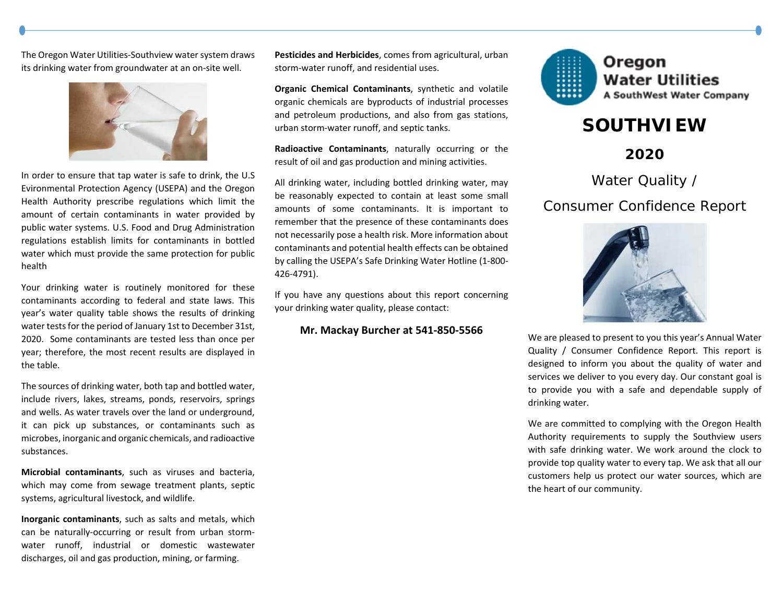The Oregon Water Utilities‐Southview water system draws its drinking water from groundwater at an on‐site well.



In order to ensure that tap water is safe to drink, the U.S Evironmental Protection Agency (USEPA) and the Oregon Health Authority prescribe regulations which limit the amount of certain contaminants in water provided by public water systems. U.S. Food and Drug Administration regulations establish limits for contaminants in bottled water which must provide the same protection for public health

Your drinking water is routinely monitored for these contaminants according to federal and state laws. This year's water quality table shows the results of drinking water tests for the period of January 1st to December 31st, 2020. Some contaminants are tested less than once per year; therefore, the most recent results are displayed in the table.

The sources of drinking water, both tap and bottled water, include rivers, lakes, streams, ponds, reservoirs, springs and wells. As water travels over the land or underground, it can pick up substances, or contaminants such as microbes, inorganic and organic chemicals, and radioactive substances.

**Microbial contaminants**, such as viruses and bacteria, which may come from sewage treatment plants, septic systems, agricultural livestock, and wildlife.

**Inorganic contaminants**, such as salts and metals, which can be naturally‐occurring or result from urban storm‐ water runoff, industrial or domestic wastewater discharges, oil and gas production, mining, or farming.

**Pesticides and Herbicides**, comes from agricultural, urban storm‐water runoff, and residential uses.

**Organic Chemical Contaminants**, synthetic and volatile organic chemicals are byproducts of industrial processes and petroleum productions, and also from gas stations, urban storm‐water runoff, and septic tanks.

**Radioactive Contaminants**, naturally occurring or the result of oil and gas production and mining activities.

All drinking water, including bottled drinking water, may be reasonably expected to contain at least some small amounts of some contaminants. It is important to remember that the presence of these contaminants does not necessarily pose a health risk. More information about contaminants and potential health effects can be obtained by calling the USEPA's Safe Drinking Water Hotline (1‐800‐ 426‐4791).

If you have any questions about this report concerning your drinking water quality, please contact:

### **Mr. Mackay Burcher at 541‐850‐5566**



# **SOUTHVIEW**

**2020** 

Water Quality /

## Consumer Confidence Report



We are pleased to present to you this year's Annual Water Quality / Consumer Confidence Report. This report is designed to inform you about the quality of water and services we deliver to you every day. Our constant goal is to provide you with <sup>a</sup> safe and dependable supply of drinking water.

We are committed to complying with the Oregon Health Authority requirements to supply the Southview users with safe drinking water. We work around the clock to provide top quality water to every tap. We ask that all our customers help us protect our water sources, which are the heart of our community.